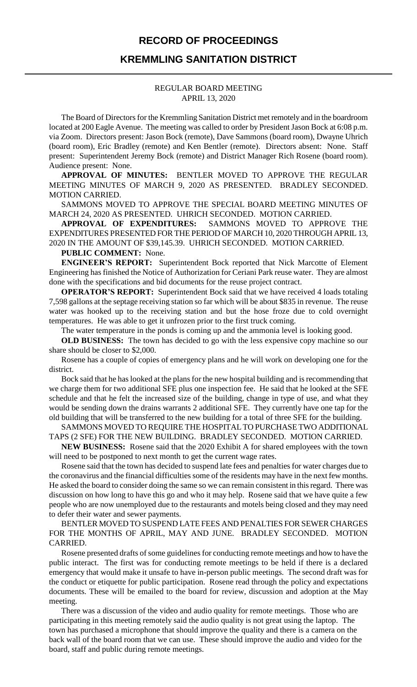## **RECORD OF PROCEEDINGS**

# **KREMMLING SANITATION DISTRICT**

#### REGULAR BOARD MEETING APRIL 13, 2020

The Board of Directors for the Kremmling Sanitation District met remotely and in the boardroom located at 200 Eagle Avenue. The meeting was called to order by President Jason Bock at 6:08 p.m. via Zoom. Directors present: Jason Bock (remote), Dave Sammons (board room), Dwayne Uhrich (board room), Eric Bradley (remote) and Ken Bentler (remote). Directors absent: None. Staff present: Superintendent Jeremy Bock (remote) and District Manager Rich Rosene (board room). Audience present: None.

**APPROVAL OF MINUTES:** BENTLER MOVED TO APPROVE THE REGULAR MEETING MINUTES OF MARCH 9, 2020 AS PRESENTED. BRADLEY SECONDED. MOTION CARRIED.

SAMMONS MOVED TO APPROVE THE SPECIAL BOARD MEETING MINUTES OF MARCH 24, 2020 AS PRESENTED. UHRICH SECONDED. MOTION CARRIED.

**APPROVAL OF EXPENDITURES:** SAMMONS MOVED TO APPROVE THE EXPENDITURES PRESENTED FOR THE PERIOD OF MARCH 10, 2020 THROUGH APRIL 13, 2020 IN THE AMOUNT OF \$39,145.39. UHRICH SECONDED. MOTION CARRIED.

## **PUBLIC COMMENT:** None.

**ENGINEER'S REPORT:** Superintendent Bock reported that Nick Marcotte of Element Engineering has finished the Notice of Authorization for Ceriani Park reuse water. They are almost done with the specifications and bid documents for the reuse project contract.

**OPERATOR'S REPORT:** Superintendent Bock said that we have received 4 loads totaling 7,598 gallons at the septage receiving station so far which will be about \$835 in revenue. The reuse water was hooked up to the receiving station and but the hose froze due to cold overnight temperatures. He was able to get it unfrozen prior to the first truck coming.

The water temperature in the ponds is coming up and the ammonia level is looking good.

**OLD BUSINESS:** The town has decided to go with the less expensive copy machine so our share should be closer to \$2,000.

Rosene has a couple of copies of emergency plans and he will work on developing one for the district.

Bock said that he has looked at the plans for the new hospital building and is recommending that we charge them for two additional SFE plus one inspection fee. He said that he looked at the SFE schedule and that he felt the increased size of the building, change in type of use, and what they would be sending down the drains warrants 2 additional SFE. They currently have one tap for the old building that will be transferred to the new building for a total of three SFE for the building.

SAMMONS MOVED TO REQUIRE THE HOSPITAL TO PURCHASE TWO ADDITIONAL TAPS (2 SFE) FOR THE NEW BUILDING. BRADLEY SECONDED. MOTION CARRIED.

**NEW BUSINESS:** Rosene said that the 2020 Exhibit A for shared employees with the town will need to be postponed to next month to get the current wage rates.

Rosene said that the town has decided to suspend late fees and penalties for water charges due to the coronavirus and the financial difficulties some of the residents may have in the next few months. He asked the board to consider doing the same so we can remain consistent in this regard. There was discussion on how long to have this go and who it may help. Rosene said that we have quite a few people who are now unemployed due to the restaurants and motels being closed and they may need to defer their water and sewer payments.

BENTLER MOVED TO SUSPEND LATE FEES AND PENALTIES FOR SEWER CHARGES FOR THE MONTHS OF APRIL, MAY AND JUNE. BRADLEY SECONDED. MOTION CARRIED.

Rosene presented drafts of some guidelines for conducting remote meetings and how to have the public interact. The first was for conducting remote meetings to be held if there is a declared emergency that would make it unsafe to have in-person public meetings. The second draft was for the conduct or etiquette for public participation. Rosene read through the policy and expectations documents. These will be emailed to the board for review, discussion and adoption at the May meeting.

There was a discussion of the video and audio quality for remote meetings. Those who are participating in this meeting remotely said the audio quality is not great using the laptop. The town has purchased a microphone that should improve the quality and there is a camera on the back wall of the board room that we can use. These should improve the audio and video for the board, staff and public during remote meetings.